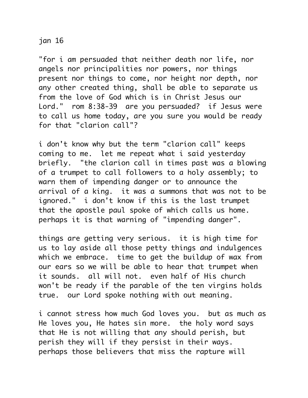## jan 16

"for i am persuaded that neither death nor life, nor angels nor principalities nor powers, nor things present nor things to come, nor height nor depth, nor any other created thing, shall be able to separate us from the love of God which is in Christ Jesus our Lord." rom 8:38-39 are you persuaded? if Jesus were to call us home today, are you sure you would be ready for that "clarion call"?

i don't know why but the term "clarion call" keeps coming to me. let me repeat what i said yesterday briefly. "the clarion call in times past was a blowing of a trumpet to call followers to a holy assembly; to warn them of impending danger or to announce the arrival of a king. it was a summons that was not to be ignored." i don't know if this is the last trumpet that the apostle paul spoke of which calls us home. perhaps it is that warning of "impending danger".

things are getting very serious. it is high time for us to lay aside all those petty things and indulgences which we embrace. time to get the buildup of wax from our ears so we will be able to hear that trumpet when it sounds. all will not. even half of His church won't be ready if the parable of the ten virgins holds true. our Lord spoke nothing with out meaning.

i cannot stress how much God loves you. but as much as He loves you, He hates sin more. the holy word says that He is not willing that any should perish, but perish they will if they persist in their ways. perhaps those believers that miss the rapture will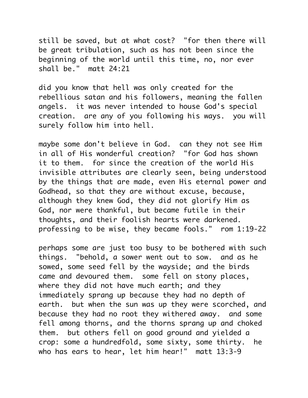still be saved, but at what cost? "for then there will be great tribulation, such as has not been since the beginning of the world until this time, no, nor ever shall be." matt 24:21

did you know that hell was only created for the rebellious satan and his followers, meaning the fallen angels. it was never intended to house God's special creation. are any of you following his ways. you will surely follow him into hell.

maybe some don't believe in God. can they not see Him in all of His wonderful creation? "for God has shown it to them. for since the creation of the world His invisible attributes are clearly seen, being understood by the things that are made, even His eternal power and Godhead, so that they are without excuse, because, although they knew God, they did not glorify Him as God, nor were thankful, but became futile in their thoughts, and their foolish hearts were darkened. professing to be wise, they became fools." rom 1:19-22

perhaps some are just too busy to be bothered with such things. "behold, a sower went out to sow. and as he sowed, some seed fell by the wayside; and the birds came and devoured them. some fell on stony places, where they did not have much earth; and they immediately sprang up because they had no depth of earth. but when the sun was up they were scorched, and because they had no root they withered away. and some fell among thorns, and the thorns sprang up and choked them. but others fell on good ground and yielded a crop: some a hundredfold, some sixty, some thirty. he who has ears to hear, let him hear!" matt 13:3-9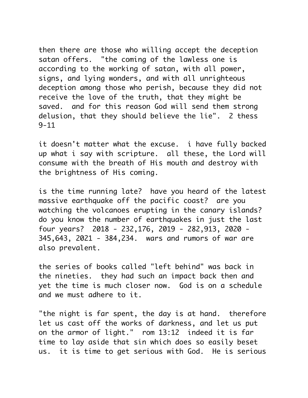then there are those who willing accept the deception satan offers. "the coming of the lawless one is according to the working of satan, with all power, signs, and lying wonders, and with all unrighteous deception among those who perish, because they did not receive the love of the truth, that they might be saved. and for this reason God will send them strong delusion, that they should believe the lie". 2 thess  $9 - 11$ 

it doesn't matter what the excuse. i have fully backed up what i say with scripture. all these, the Lord will consume with the breath of His mouth and destroy with the brightness of His coming.

is the time running late? have you heard of the latest massive earthquake off the pacific coast? are you watching the volcanoes erupting in the canary islands? do you know the number of earthquakes in just the last four years? 2018 - 232,176, 2019 - 282,913, 2020 - 345,643, 2021 - 384,234. wars and rumors of war are also prevalent.

the series of books called "left behind" was back in the nineties. they had such an impact back then and yet the time is much closer now. God is on a schedule and we must adhere to it.

"the night is far spent, the day is at hand. therefore let us cast off the works of darkness, and let us put on the armor of light." rom 13:12 indeed it is far time to lay aside that sin which does so easily beset us. it is time to get serious with God. He is serious